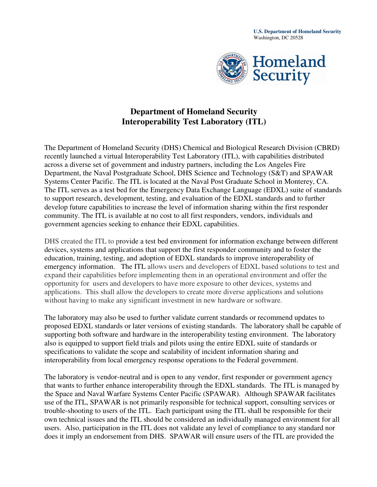**U.S. Department of Homeland Security**  Washington, DC 20528



## **Department of Homeland Security Interoperability Test Laboratory (ITL)**

The Department of Homeland Security (DHS) Chemical and Biological Research Division (CBRD) recently launched a virtual Interoperability Test Laboratory (ITL), with capabilities distributed across a diverse set of government and industry partners, including the Los Angeles Fire Department, the Naval Postgraduate School, DHS Science and Technology (S&T) and SPAWAR Systems Center Pacific. The ITL is located at the Naval Post Graduate School in Monterey, CA. The ITL serves as a test bed for the Emergency Data Exchange Language (EDXL) suite of standards to support research, development, testing, and evaluation of the EDXL standards and to further develop future capabilities to increase the level of information sharing within the first responder community. The ITL is available at no cost to all first responders, vendors, individuals and government agencies seeking to enhance their EDXL capabilities.

DHS created the ITL to provide a test bed environment for information exchange between different devices, systems and applications that support the first responder community and to foster the education, training, testing, and adoption of EDXL standards to improve interoperability of emergency information. The ITL allows users and developers of EDXL based solutions to test and expand their capabilities before implementing them in an operational environment and offer the opportunity for users and developers to have more exposure to other devices, systems and applications. This shall allow the developers to create more diverse applications and solutions without having to make any significant investment in new hardware or software.

The laboratory may also be used to further validate current standards or recommend updates to proposed EDXL standards or later versions of existing standards. The laboratory shall be capable of supporting both software and hardware in the interoperability testing environment. The laboratory also is equipped to support field trials and pilots using the entire EDXL suite of standards or specifications to validate the scope and scalability of incident information sharing and interoperability from local emergency response operations to the Federal government.

The laboratory is vendor-neutral and is open to any vendor, first responder or government agency that wants to further enhance interoperability through the EDXL standards. The ITL is managed by the Space and Naval Warfare Systems Center Pacific (SPAWAR). Although SPAWAR facilitates use of the ITL, SPAWAR is not primarily responsible for technical support, consulting services or trouble-shooting to users of the ITL. Each participant using the ITL shall be responsible for their own technical issues and the ITL should be considered an individually managed environment for all users. Also, participation in the ITL does not validate any level of compliance to any standard nor does it imply an endorsement from DHS. SPAWAR will ensure users of the ITL are provided the